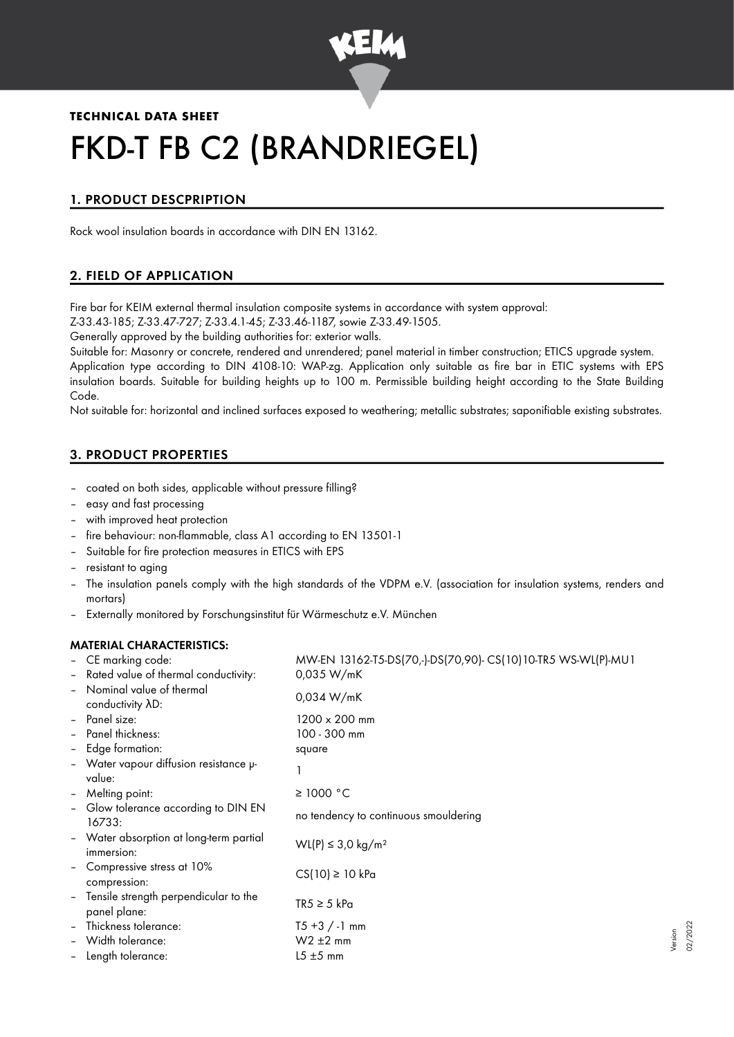

# **TECHNICAL DATA SHEET** FKD-T FB C2 (BRANDRIEGEL)

# 1. PRODUCT DESCPRIPTION

Rock wool insulation boards in accordance with DIN EN 13162.

# 2. FIELD OF APPLICATION

Fire bar for KEIM external thermal insulation composite systems in accordance with system approval:

Z-33.43-185; Z-33.47-727; Z-33.4.1-45; Z-33.46-1187, sowie Z-33.49-1505.

Generally approved by the building authorities for: exterior walls.

Suitable for: Masonry or concrete, rendered and unrendered; panel material in timber construction; ETICS upgrade system. Application type according to DIN 4108-10: WAP-zg. Application only suitable as fire bar in ETIC systems with EPS insulation boards. Suitable for building heights up to 100 m. Permissible building height according to the State Building Code.

Not suitable for: horizontal and inclined surfaces exposed to weathering; metallic substrates; saponifiable existing substrates.

# 3. PRODUCT PROPERTIES

- coated on both sides, applicable without pressure filling?
- easy and fast processing
- with improved heat protection
- fire behaviour: non-flammable, class A1 according to EN 13501-1
- Suitable for fire protection measures in ETICS with EPS
- resistant to aging
- The insulation panels comply with the high standards of the VDPM e.V. (association for insulation systems, renders and mortars)
- Externally monitored by Forschungsinstitut für Wärmeschutz e.V. München

## MATERIAL CHARACTERISTICS:

|                | - CE marking code:                                      | MW-EN 13162-T5-DS(70,-)-DS(70,90)- CS(10)10-TR5 WS-WL(P)-MU1 |
|----------------|---------------------------------------------------------|--------------------------------------------------------------|
|                | - Rated value of thermal conductivity:                  | 0.035 W/mK                                                   |
|                | - Nominal value of thermal<br>conductivity AD:          | 0,034 W/mK                                                   |
|                | - Panel size:                                           | $1200 \times 200$ mm                                         |
|                | - Panel thickness:                                      | 100 - 300 mm                                                 |
|                | - Edge formation:                                       | square                                                       |
|                | - Water vapour diffusion resistance u-<br>value:        |                                                              |
|                | - Melting point:                                        | $\geq$ 1000 °C                                               |
|                | - Glow tolerance according to DIN EN<br>16733:          | no tendency to continuous smouldering                        |
|                | - Water absorption at long-term partial<br>immersion:   | WL(P) ≤ 3.0 kg/m <sup>2</sup>                                |
|                | - Compressive stress at 10%<br>compression:             | $CS(10) \ge 10$ kPa                                          |
|                | - Tensile strength perpendicular to the<br>panel plane: | $TR5 \geq 5$ kPa                                             |
|                | - Thickness tolerance:                                  | $T5 + 3 / -1$ mm                                             |
| $\overline{a}$ | Width tolerance:                                        | $W2 \pm 2$ mm                                                |
|                | - Length tolerance:                                     | $15 \pm 5$ mm                                                |

Version 02/2022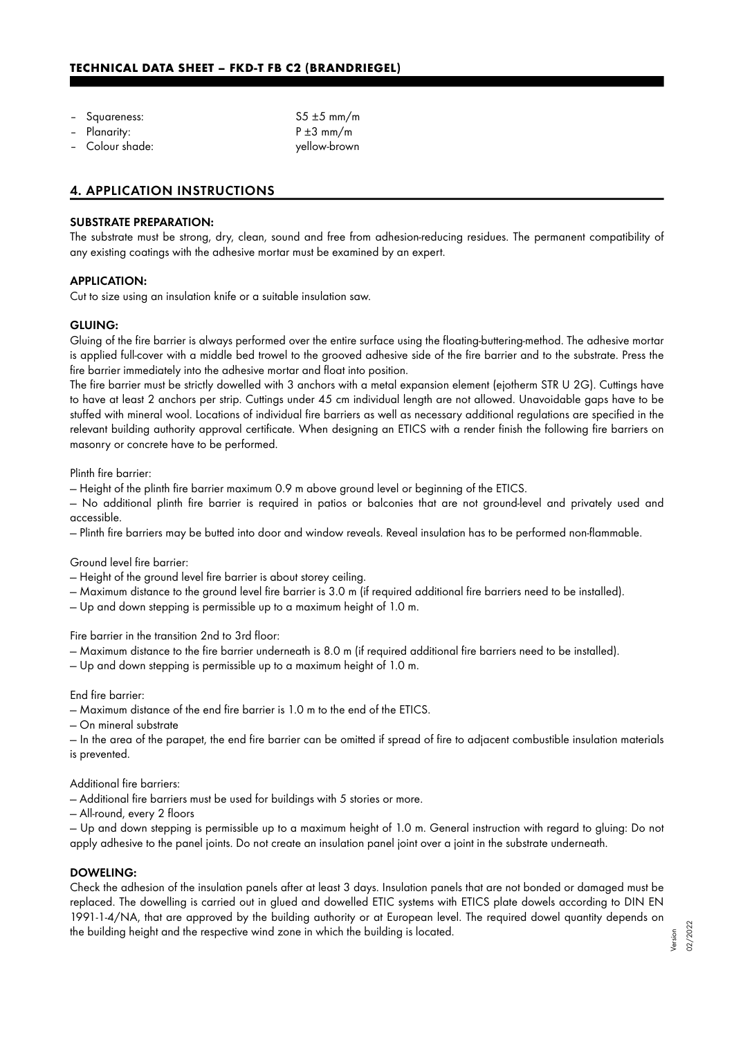- 
- 
- 

Squareness: Squareness: S5 ±5 mm/m Planarity:  $P \pm 3 \, \text{mm/m}$ – Colour shade: yellow-brown

## 4. APPLICATION INSTRUCTIONS

#### SUBSTRATE PREPARATION:

The substrate must be strong, dry, clean, sound and free from adhesion-reducing residues. The permanent compatibility of any existing coatings with the adhesive mortar must be examined by an expert.

#### APPLICATION:

Cut to size using an insulation knife or a suitable insulation saw.

#### GLUING:

Gluing of the fire barrier is always performed over the entire surface using the floating-buttering-method. The adhesive mortar is applied full-cover with a middle bed trowel to the grooved adhesive side of the fire barrier and to the substrate. Press the fire barrier immediately into the adhesive mortar and float into position.

The fire barrier must be strictly dowelled with 3 anchors with a metal expansion element (ejotherm STR U 2G). Cuttings have to have at least 2 anchors per strip. Cuttings under 45 cm individual length are not allowed. Unavoidable gaps have to be stuffed with mineral wool. Locations of individual fire barriers as well as necessary additional regulations are specified in the relevant building authority approval certificate. When designing an ETICS with a render finish the following fire barriers on masonry or concrete have to be performed.

Plinth fire barrier:

— Height of the plinth fire barrier maximum 0.9 m above ground level or beginning of the ETICS.

— No additional plinth fire barrier is required in patios or balconies that are not ground-level and privately used and accessible.

— Plinth fire barriers may be butted into door and window reveals. Reveal insulation has to be performed non-flammable.

Ground level fire barrier:

— Height of the ground level fire barrier is about storey ceiling.

— Maximum distance to the ground level fire barrier is 3.0 m (if required additional fire barriers need to be installed).

— Up and down stepping is permissible up to a maximum height of 1.0 m.

Fire barrier in the transition 2nd to 3rd floor:

- Maximum distance to the fire barrier underneath is 8.0 m (if required additional fire barriers need to be installed).
- Up and down stepping is permissible up to a maximum height of 1.0 m.

End fire barrier:

— Maximum distance of the end fire barrier is 1.0 m to the end of the ETICS.

— On mineral substrate

— In the area of the parapet, the end fire barrier can be omitted if spread of fire to adjacent combustible insulation materials is prevented.

#### Additional fire barriers:

— Additional fire barriers must be used for buildings with 5 stories or more.

— All-round, every 2 floors

— Up and down stepping is permissible up to a maximum height of 1.0 m. General instruction with regard to gluing: Do not apply adhesive to the panel joints. Do not create an insulation panel joint over a joint in the substrate underneath.

#### DOWELING:

Check the adhesion of the insulation panels after at least 3 days. Insulation panels that are not bonded or damaged must be replaced. The dowelling is carried out in glued and dowelled ETIC systems with ETICS plate dowels according to DIN EN 1991-1-4/NA, that are approved by the building authority or at European level. The required dowel quantity depends on the building height and the respective wind zone in which the building is located.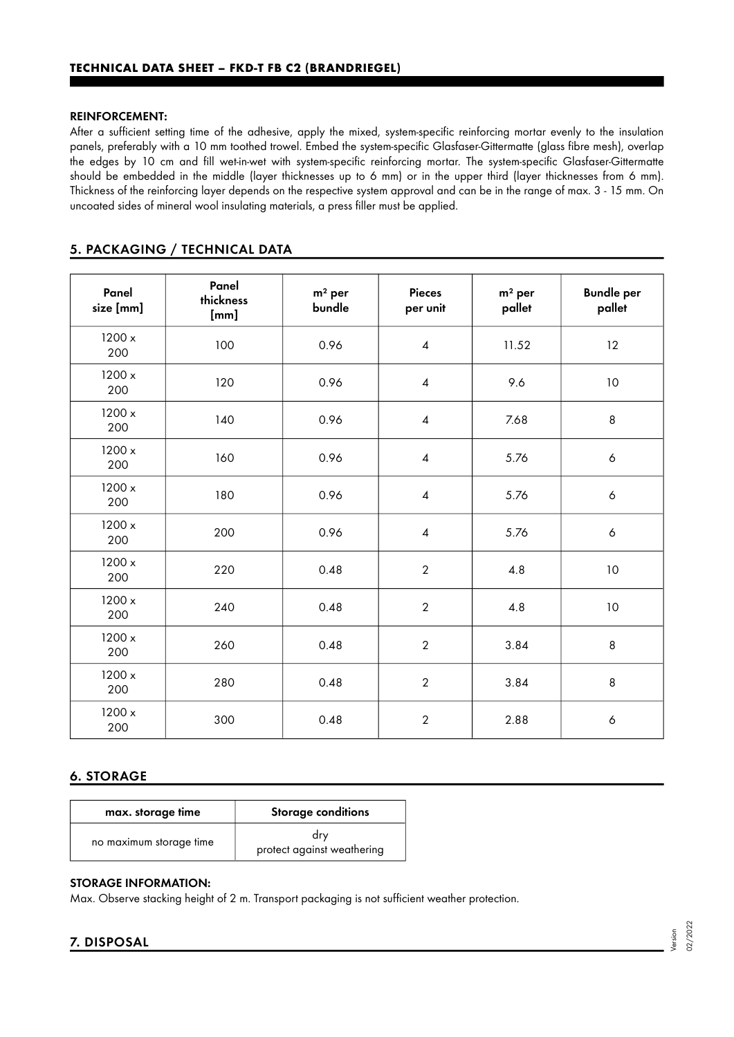#### REINFORCEMENT:

After a sufficient setting time of the adhesive, apply the mixed, system-specific reinforcing mortar evenly to the insulation panels, preferably with a 10 mm toothed trowel. Embed the system-specific Glasfaser-Gittermatte (glass fibre mesh), overlap the edges by 10 cm and fill wet-in-wet with system-specific reinforcing mortar. The system-specific Glasfaser-Gittermatte should be embedded in the middle (layer thicknesses up to 6 mm) or in the upper third (layer thicknesses from 6 mm). Thickness of the reinforcing layer depends on the respective system approval and can be in the range of max. 3 - 15 mm. On uncoated sides of mineral wool insulating materials, a press filler must be applied.

# 5. PACKAGING / TECHNICAL DATA

| Panel<br>size [mm] | Panel<br>thickness<br>[mm] | $m2$ per<br>bundle | <b>Pieces</b><br>per unit | $m2$ per<br>pallet | <b>Bundle per</b><br>pallet |
|--------------------|----------------------------|--------------------|---------------------------|--------------------|-----------------------------|
| 1200 x<br>200      | 100                        | 0.96               | $\overline{4}$            | 11.52              | 12                          |
| 1200 x<br>200      | 120                        | 0.96               | $\overline{4}$            | 9.6                | 10                          |
| 1200 x<br>200      | 140                        | 0.96               | 4                         | 7.68               | 8                           |
| 1200 x<br>200      | 160                        | 0.96               | $\overline{4}$            | 5.76               | $\boldsymbol{6}$            |
| 1200 x<br>200      | 180                        | 0.96               | $\overline{\mathcal{A}}$  | 5.76               | $\boldsymbol{6}$            |
| 1200 x<br>200      | 200                        | 0.96               | 4                         | 5.76               | $\boldsymbol{6}$            |
| 1200 x<br>200      | 220                        | 0.48               | $\overline{2}$            | 4.8                | 10                          |
| 1200 x<br>200      | 240                        | 0.48               | $\overline{2}$            | 4.8                | 10                          |
| 1200x<br>200       | 260                        | 0.48               | $\overline{2}$            | 3.84               | 8                           |
| 1200 x<br>200      | 280                        | 0.48               | $\overline{2}$            | 3.84               | 8                           |
| 1200 x<br>200      | 300                        | 0.48               | $\overline{2}$            | 2.88               | $\boldsymbol{6}$            |

# 6. STORAGE

| max. storage time       | <b>Storage conditions</b>         |  |  |
|-------------------------|-----------------------------------|--|--|
| no maximum storage time | drv<br>protect against weathering |  |  |

## STORAGE INFORMATION:

Max. Observe stacking height of 2 m. Transport packaging is not sufficient weather protection.

# 7. DISPOSAL

02/2022

Version